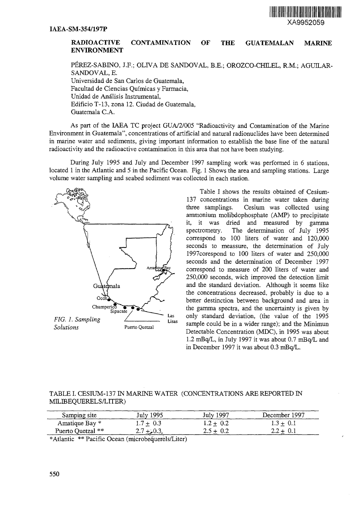

## **RADIOACTIVE CONTAMINATION ENVIRONMENT OF THE GUATEMALAN MARINE**

PÉREZ-SABINO, J.F.; OLIVA DE SANDOVAL, B.E.; OROZCO-CHILEL, R.M.; AGUILAR-SANDOVAL, E. Universidad de San Carlos de Guatemala, Facultad de Ciencias Quimicas y Farmacia, Unidad de Análisis Instrumental, Edificio T-13, zona 12. Ciudad de Guatemala, Guatemala C.A.

As part of the IAEA TC project GUA/2/005 "Radioactivity and Contamination of the Marine Environment in Guatemala", concentrations of artificial and natural radionuclides have been determined in marine water and sediments, giving important information to establish the base line of the natural radioactivity and the radioactive contamination in this area that not have been studying.

During July 1995 and July and December 1997 sampling work was performed in 6 stations, located 1 in the Atlantic and 5 in the Pacific Ocean. Fig. 1 Shows the area and sampling stations. Large volume water sampling and seabed sediment was collected in each station.



Table I shows the results obtained of Cesium-137 concentrations in marine water taken during three samplings. Cesium was collected using ammonium molibdophosphate (AMP) to precipitate it, it was dried and measured by gamma spectrometry. The determination of July 1995 correspond to 100 liters of water and 120,000 seconds to meassure, the determination of July 1997corespond to 100 liters of water and 250,000 seconds and the determination of December 1997 correspond to measure of 200 liters of water and 250,000 seconds, wich improved the detection limit and the standard deviation. Although it seems like the concentrations decreased, probably is due to a better destinction between background and area in the gamma spectra, and the uncertainty is given by only standard deviation, (the value of the 1995 sample could be in a wider range); and the Minimun Detectable Concentration (MDC), in 1995 was about 1.2 mBq/L, in July 1997 it was about 0.7 mBq/L and in December 1997 it was about 0.3 mBq/L.

## TABLE I. CESIUM-137 IN MARINE WATER (CONCENTRATIONS ARE REPORTED IN MILIBEQUERELS/LITER)

| Samping site      | July 1995   | July 1997   | December 1997 |
|-------------------|-------------|-------------|---------------|
| Amatique Bay *    | $1.7 + 0.3$ | $1.2 + 0.2$ | $1.3 \pm 0.1$ |
| Puerto Quetzal ** | $2.7 + 0.3$ | $2.5 + 0.2$ | $2.2 + 0.1$   |

\* Atlantic \*\* Pacific Ocean (microbequerels/Liter)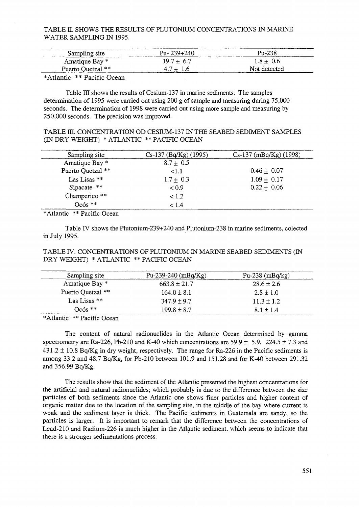TABLE H. SHOWS THE RESULTS OF PLUTONIUM CONCENTRATIONS IN MARINE WATER SAMPLING IN 1995.

| Sampling site     | Pu- $239+240$ | $Pu-238$     |
|-------------------|---------------|--------------|
| Amatique Bay *    | $19.7 + 6.7$  | $1.8 + 0.6$  |
| Puerto Quetzal ** | $4.7 + 1.6$   | Not detected |

\* Atlantic \*\* Pacific Ocean

Table  $III$  shows the results of Cesium-137 in marine sediments. The samples determination of 1995 were carried out using 200 g of sample and measuring during 75,000 seconds. The determination of 1998 were carried out using more sample and measuring by 250,000 seconds. The precision was improved.

TABLE m. CONCENTRATION OD CESIUM-137 IN THE SEABED SEDIMENT SAMPLES (IN DRY WEIGHT) \* ATLANTIC \*\* PACIFIC OCEAN

| Sampling site     | $Cs-137$ (Bq/Kg) (1995) | $Cs-137$ (mBq/Kg) (1998) |
|-------------------|-------------------------|--------------------------|
| Amatique Bay *    | $8.7 \pm 0.5$           |                          |
| Puerto Quetzal ** | $\leq 1.1$              | $0.46 + 0.07$            |
| Las Lisas **      | $1.7 \pm 0.3$           | $1.09 \pm 0.17$          |
| Sipacate $**$     | < 0.9                   | $0.22 \pm 0.06$          |
| Champerico **     | < 1.2                   |                          |
| $Oc$ ós $**$      | < 1.4                   |                          |

\* Atlantic \*\* Pacific Ocean

Table IV shows the Plutonium-239+240 and Plutonium-238 in marine sediments, colected in July 1995.

## TABLE IV. CONCENTRATIONS OF PLUTONIUM IN MARINE SEABED SEDIMENTS (IN DRY WEIGHT) \* ATLANTIC \*\* PACIFIC OCEAN

| Sampling site     | Pu-239-240 $(mBq/Kg)$ | Pu-238 $(mBq/kg)$ |
|-------------------|-----------------------|-------------------|
| Amatique Bay *    | $663.8 \pm 21.7$      | $28.6 \pm 2.6$    |
| Puerto Quetzal ** | $164.0 \pm 8.1$       | $2.8 \pm 1.0$     |
| Las Lisas $**$    | $347.9 \pm 9.7$       | $11.3 \pm 1.2$    |
| $Oc$ 6s $**$      | $199.8 \pm 8.7$       | $8.1 \pm 1.4$     |

\*Atlantic \*\* Pacific Ocean

The content of natural radionuclides in the Atlantic Ocean determined by gamma spectrometry are Ra-226, Pb-210 and K-40 which concentrations are 59.9  $\pm$  5.9, 224.5  $\pm$  7.3 and  $431.2 \pm 10.8$  Bq/Kg in dry weight, respectively. The range for Ra-226 in the Pacific sediments is among 33.2 and 48.7 Bq/Kg, for Pb-210 between 101.9 and 151.28 and for K-40 between 291.32 and 356.99 Bq/Kg.

The results show that the sediment of the Atlantic presented the highest concentrations for the artificial and natural radionuclides; which probably is due to the difference between the size particles of both sediments since the Atlantic one shows finer particles and higher content of organic matter due to the location of the sampling site, in the middle of the bay where current is weak and the sediment layer is thick. The Pacific sediments in Guatemala are sandy, so the particles is larger. It is important to remark that the difference between the concentrations of Lead-210 and Radium-226 is much higher in the Atlantic sediment, which seems to indicate that there is a stronger sedimentations process.